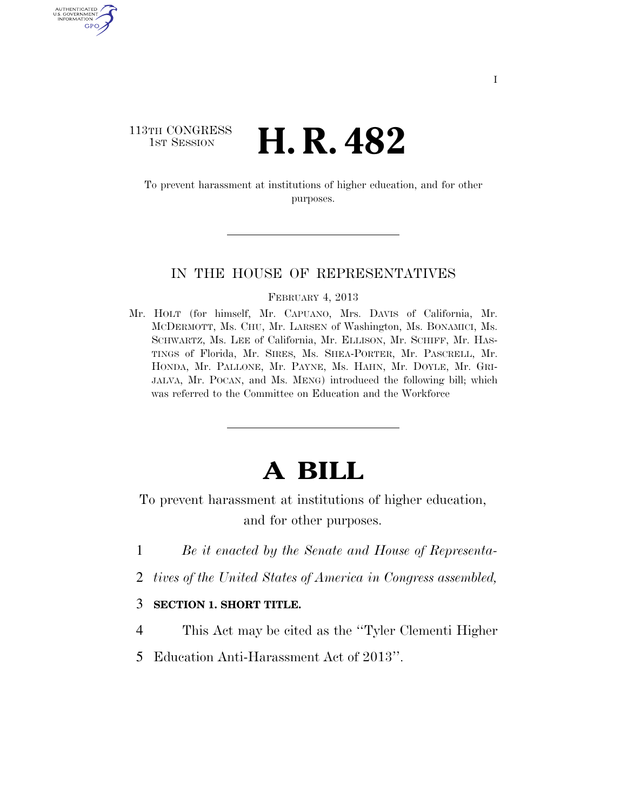## 113TH CONGRESS **HE CONGRESS H. R. 482**

AUTHENTICATED U.S. GOVERNMENT GPO

> To prevent harassment at institutions of higher education, and for other purposes.

## IN THE HOUSE OF REPRESENTATIVES

FEBRUARY 4, 2013

Mr. HOLT (for himself, Mr. CAPUANO, Mrs. DAVIS of California, Mr. MCDERMOTT, Ms. CHU, Mr. LARSEN of Washington, Ms. BONAMICI, Ms. SCHWARTZ, Ms. LEE of California, Mr. ELLISON, Mr. SCHIFF, Mr. HAS-TINGS of Florida, Mr. SIRES, Ms. SHEA-PORTER, Mr. PASCRELL, Mr. HONDA, Mr. PALLONE, Mr. PAYNE, Ms. HAHN, Mr. DOYLE, Mr. GRI-JALVA, Mr. POCAN, and Ms. MENG) introduced the following bill; which was referred to the Committee on Education and the Workforce

## **A BILL**

To prevent harassment at institutions of higher education, and for other purposes.

- 1 *Be it enacted by the Senate and House of Representa-*
- 2 *tives of the United States of America in Congress assembled,*
- 3 **SECTION 1. SHORT TITLE.**
- 4 This Act may be cited as the ''Tyler Clementi Higher
- 5 Education Anti-Harassment Act of 2013''.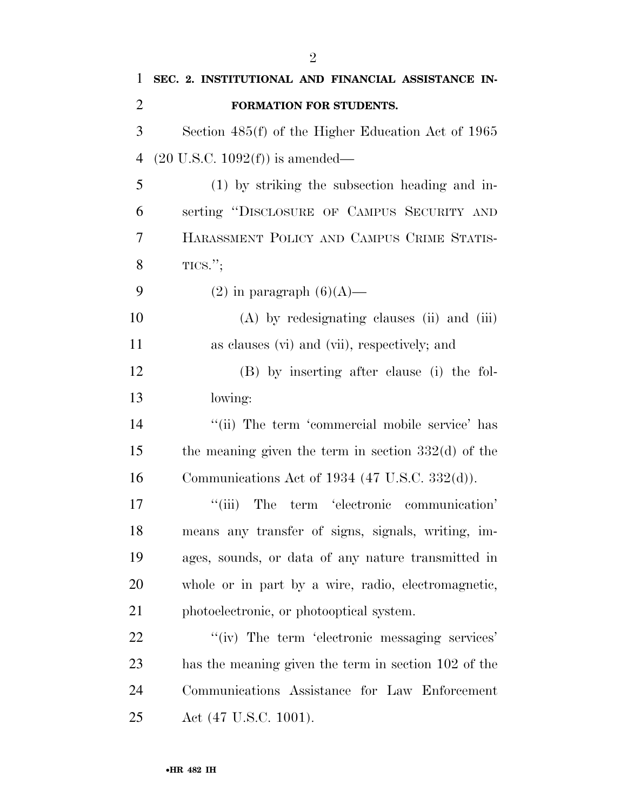| 1              | SEC. 2. INSTITUTIONAL AND FINANCIAL ASSISTANCE IN-    |
|----------------|-------------------------------------------------------|
| $\overline{2}$ | FORMATION FOR STUDENTS.                               |
| 3              | Section 485(f) of the Higher Education Act of 1965    |
| $\overline{4}$ | $(20 \text{ U.S.C. } 1092(f))$ is amended—            |
| 5              | (1) by striking the subsection heading and in-        |
| 6              | serting "DISCLOSURE OF CAMPUS SECURITY AND            |
| 7              | HARASSMENT POLICY AND CAMPUS CRIME STATIS-            |
| 8              | TICS.";                                               |
| 9              | $(2)$ in paragraph $(6)(A)$ —                         |
| 10             | (A) by redesignating clauses (ii) and (iii)           |
| 11             | as clauses (vi) and (vii), respectively; and          |
| 12             | (B) by inserting after clause (i) the fol-            |
| 13             | lowing:                                               |
| 14             | "(ii) The term 'commercial mobile service' has        |
| 15             | the meaning given the term in section $332(d)$ of the |
| 16             | Communications Act of 1934 (47 U.S.C. 332(d)).        |
| 17             | ``(iii)<br>The term 'electronic communication'        |
| 18             | means any transfer of signs, signals, writing, im-    |
| 19             | ages, sounds, or data of any nature transmitted in    |
| 20             | whole or in part by a wire, radio, electromagnetic,   |
| 21             | photoelectronic, or photooptical system.              |
| 22             | "(iv) The term 'electronic messaging services'        |
| 23             | has the meaning given the term in section 102 of the  |
| 24             | Communications Assistance for Law Enforcement         |
| 25             | Act (47 U.S.C. 1001).                                 |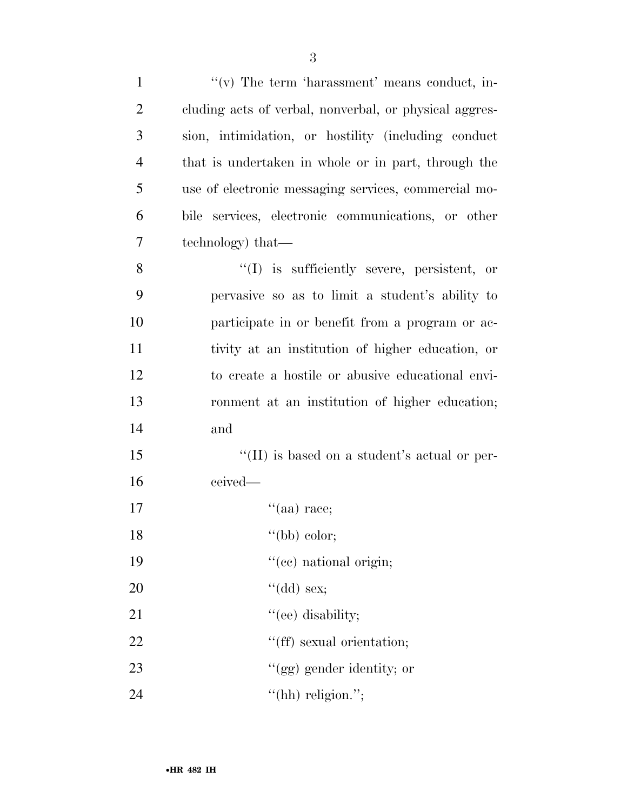| $\mathbf{1}$   | $f'(v)$ The term 'harassment' means conduct, in-       |
|----------------|--------------------------------------------------------|
| $\overline{2}$ | cluding acts of verbal, nonverbal, or physical aggres- |
| 3              | sion, intimidation, or hostility (including conduct    |
| $\overline{4}$ | that is undertaken in whole or in part, through the    |
| 5              | use of electronic messaging services, commercial mo-   |
| 6              | bile services, electronic communications, or other     |
| 7              | technology) that—                                      |
| 8              | $\lq(1)$ is sufficiently severe, persistent, or        |
| 9              | pervasive so as to limit a student's ability to        |
| 10             | participate in or benefit from a program or ac-        |
| 11             | tivity at an institution of higher education, or       |
| 12             | to create a hostile or abusive educational envi-       |
| 13             | ronment at an institution of higher education;         |
| 14             | and                                                    |
| 15             | "(II) is based on a student's actual or per-           |
| 16             | ceived—                                                |
| 17             | $\lq(aa)$ race;                                        |
| 18             | "(bb) color;                                           |
| 19             | "(cc) national origin;                                 |
| 20             | "(dd) sex;                                             |
| 21             | "(ee) disability;                                      |
| 22             | "(ff) sexual orientation;                              |
| 23             | "(gg) gender identity; or                              |
| 24             | "(hh) religion.";                                      |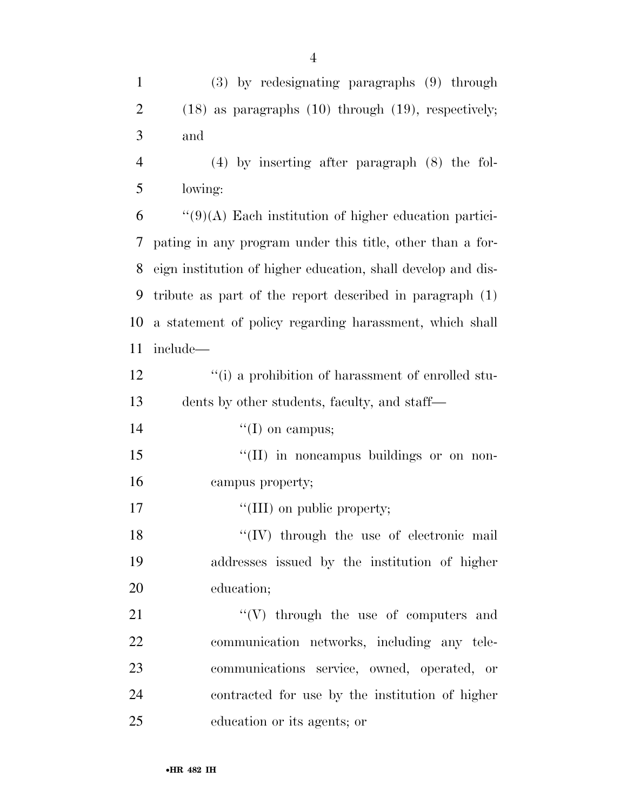| $\mathbf{1}$   | $(3)$ by redesignating paragraphs $(9)$ through              |
|----------------|--------------------------------------------------------------|
| $\overline{2}$ | $(18)$ as paragraphs $(10)$ through $(19)$ , respectively;   |
| 3              | and                                                          |
| $\overline{4}$ | $(4)$ by inserting after paragraph $(8)$ the fol-            |
| 5              | lowing:                                                      |
| 6              | $\lq(9)(A)$ Each institution of higher education partici-    |
| 7              | pating in any program under this title, other than a for-    |
| 8              | eign institution of higher education, shall develop and dis- |
| 9              | tribute as part of the report described in paragraph $(1)$   |
| 10             | a statement of policy regarding harassment, which shall      |
| 11             | include-                                                     |
| 12             | "(i) a prohibition of harassment of enrolled stu-            |
| 13             | dents by other students, faculty, and staff—                 |
| 14             | $\lq\lq$ (I) on campus;                                      |
| 15             | "(II) in noncampus buildings or on non-                      |
| 16             | campus property;                                             |
| 17             | "(III) on public property;                                   |
| 18             | $\lq\lq$ (IV) through the use of electronic mail             |
| 19             | addresses issued by the institution of higher                |
| 20             | education;                                                   |
| 21             | $``(V)$ through the use of computers and                     |
| 22             | communication networks, including any tele-                  |
| 23             | communications service, owned, operated, or                  |
| 24             | contracted for use by the institution of higher              |
| 25             | education or its agents; or                                  |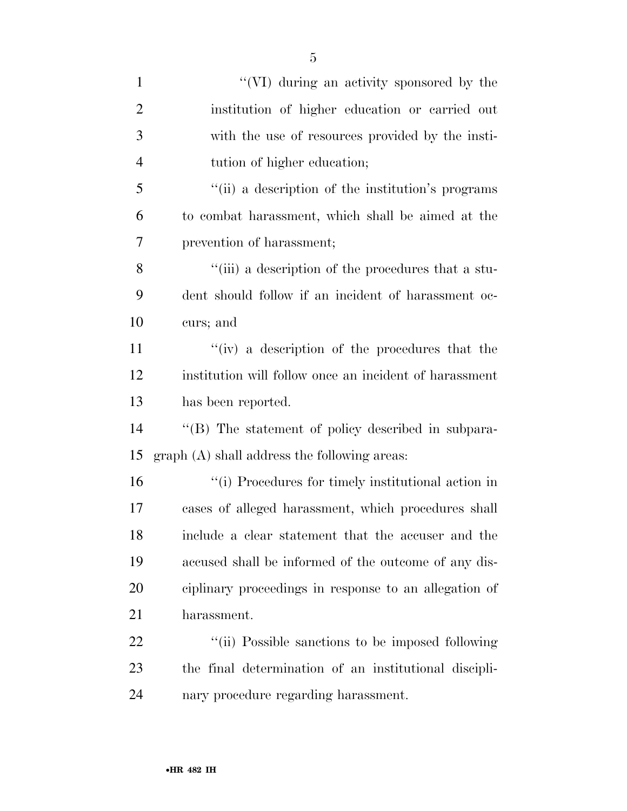| $\mathbf{1}$   | "(VI) during an activity sponsored by the              |
|----------------|--------------------------------------------------------|
| $\overline{2}$ | institution of higher education or carried out         |
| 3              | with the use of resources provided by the insti-       |
| $\overline{4}$ | tution of higher education;                            |
| 5              | "(ii) a description of the institution's programs      |
| 6              | to combat harassment, which shall be aimed at the      |
| 7              | prevention of harassment;                              |
| 8              | "(iii) a description of the procedures that a stu-     |
| 9              | dent should follow if an incident of harassment oc-    |
| 10             | curs; and                                              |
| 11             | "(iv) a description of the procedures that the         |
| 12             | institution will follow once an incident of harassment |
| 13             | has been reported.                                     |
| 14             | "(B) The statement of policy described in subpara-     |
| 15             | graph (A) shall address the following areas:           |
| 16             | "(i) Procedures for timely institutional action in     |
| 17             | cases of alleged harassment, which procedures shall    |
| 18             | include a clear statement that the accuser and the     |
| 19             | accused shall be informed of the outcome of any dis-   |
| 20             | ciplinary proceedings in response to an allegation of  |
| 21             | harassment.                                            |
| 22             | "(ii) Possible sanctions to be imposed following       |
| 23             | the final determination of an institutional discipli-  |
| 24             | nary procedure regarding harassment.                   |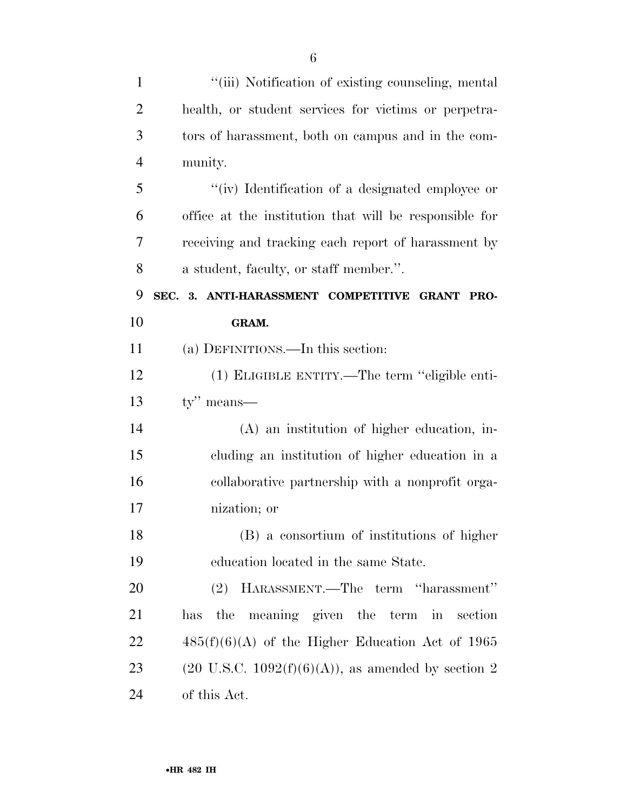| $\mathbf{1}$   | "(iii) Notification of existing counseling, mental             |
|----------------|----------------------------------------------------------------|
| $\overline{2}$ | health, or student services for victims or perpetra-           |
| 3              | tors of harassment, both on campus and in the com-             |
| $\overline{4}$ | munity.                                                        |
| 5              | "(iv) Identification of a designated employee or               |
| 6              | office at the institution that will be responsible for         |
| 7              | receiving and tracking each report of harassment by            |
| 8              | a student, faculty, or staff member.".                         |
| 9              | SEC. 3. ANTI-HARASSMENT COMPETITIVE GRANT PRO-                 |
| 10             | GRAM.                                                          |
| 11             | (a) DEFINITIONS.—In this section:                              |
| 12             | (1) ELIGIBLE ENTITY.—The term "eligible enti-                  |
| 13             | $ty''$ means—                                                  |
| 14             | (A) an institution of higher education, in-                    |
| 15             | cluding an institution of higher education in a                |
| 16             | collaborative partnership with a nonprofit orga-               |
| 17             | nization; or                                                   |
| 18             | (B) a consortium of institutions of higher                     |
| 19             | education located in the same State.                           |
| 20             | (2) HARASSMENT.—The term "harassment"                          |
| 21             | has the meaning given the term in section                      |
| 22             | $485(f)(6)(A)$ of the Higher Education Act of 1965             |
| 23             | $(20 \text{ U.S.C. } 1092(f)(6)(A))$ , as amended by section 2 |
| 24             | of this Act.                                                   |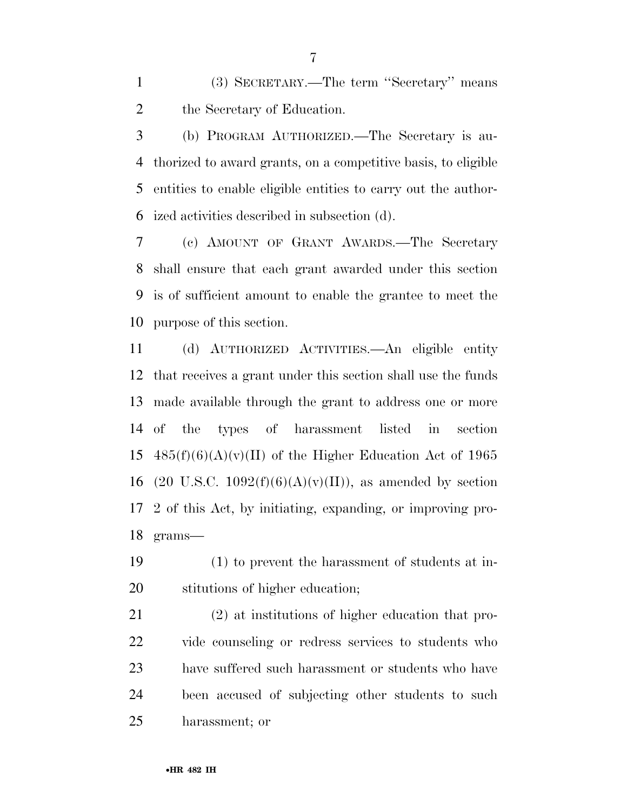(3) SECRETARY.—The term ''Secretary'' means the Secretary of Education.

 (b) PROGRAM AUTHORIZED.—The Secretary is au- thorized to award grants, on a competitive basis, to eligible entities to enable eligible entities to carry out the author-ized activities described in subsection (d).

 (c) AMOUNT OF GRANT AWARDS.—The Secretary shall ensure that each grant awarded under this section is of sufficient amount to enable the grantee to meet the purpose of this section.

 (d) AUTHORIZED ACTIVITIES.—An eligible entity that receives a grant under this section shall use the funds made available through the grant to address one or more of the types of harassment listed in section  $485(f)(6)(A)(v)(II)$  of the Higher Education Act of 1965 16 (20 U.S.C. 1092 $(f)(6)(A)(v)(II)$ ), as amended by section 2 of this Act, by initiating, expanding, or improving pro-grams—

 (1) to prevent the harassment of students at in-stitutions of higher education;

 (2) at institutions of higher education that pro- vide counseling or redress services to students who have suffered such harassment or students who have been accused of subjecting other students to such harassment; or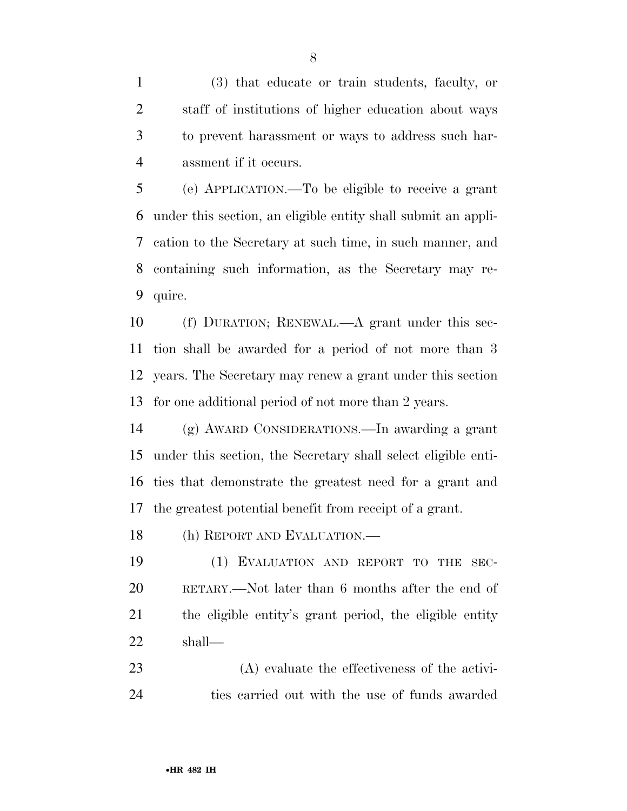(3) that educate or train students, faculty, or staff of institutions of higher education about ways to prevent harassment or ways to address such har-assment if it occurs.

 (e) APPLICATION.—To be eligible to receive a grant under this section, an eligible entity shall submit an appli- cation to the Secretary at such time, in such manner, and containing such information, as the Secretary may re-quire.

 (f) DURATION; RENEWAL.—A grant under this sec- tion shall be awarded for a period of not more than 3 years. The Secretary may renew a grant under this section for one additional period of not more than 2 years.

 (g) AWARD CONSIDERATIONS.—In awarding a grant under this section, the Secretary shall select eligible enti- ties that demonstrate the greatest need for a grant and the greatest potential benefit from receipt of a grant.

(h) REPORT AND EVALUATION.—

 (1) EVALUATION AND REPORT TO THE SEC- RETARY.—Not later than 6 months after the end of the eligible entity's grant period, the eligible entity shall—

 (A) evaluate the effectiveness of the activi-ties carried out with the use of funds awarded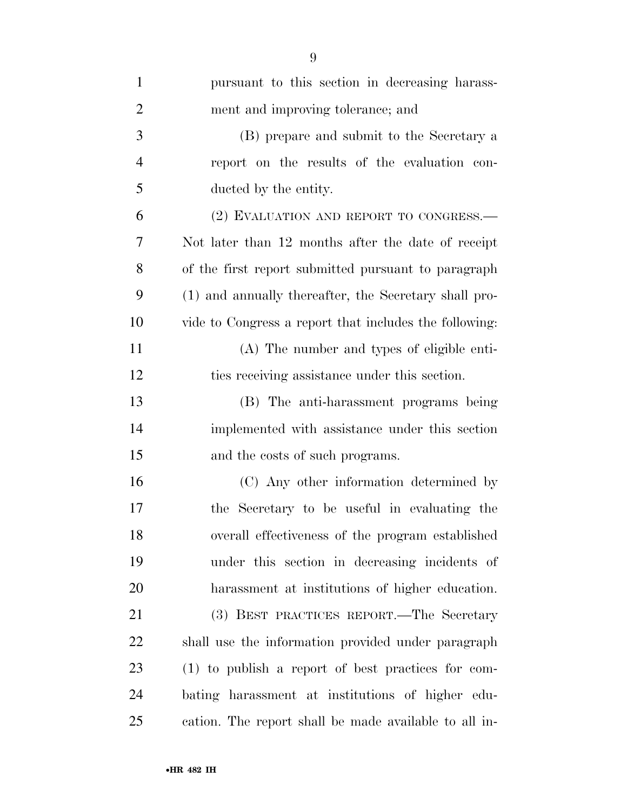| $\mathbf{1}$   | pursuant to this section in decreasing harass-         |
|----------------|--------------------------------------------------------|
| $\overline{2}$ | ment and improving tolerance; and                      |
| 3              | (B) prepare and submit to the Secretary a              |
| $\overline{4}$ | report on the results of the evaluation con-           |
| 5              | ducted by the entity.                                  |
| 6              | (2) EVALUATION AND REPORT TO CONGRESS.-                |
| 7              | Not later than 12 months after the date of receipt     |
| 8              | of the first report submitted pursuant to paragraph    |
| 9              | (1) and annually thereafter, the Secretary shall pro-  |
| 10             | vide to Congress a report that includes the following: |
| 11             | (A) The number and types of eligible enti-             |
| 12             | ties receiving assistance under this section.          |
| 13             | (B) The anti-harassment programs being                 |
| 14             | implemented with assistance under this section         |
| 15             | and the costs of such programs.                        |
| 16             | (C) Any other information determined by                |
| 17             | the Secretary to be useful in evaluating the           |
| 18             | overall effectiveness of the program established       |
| 19             | under this section in decreasing incidents of          |
| 20             | harassment at institutions of higher education.        |
| 21             | (3) BEST PRACTICES REPORT.—The Secretary               |
| 22             | shall use the information provided under paragraph     |
| 23             | (1) to publish a report of best practices for com-     |
| 24             | bating harassment at institutions of higher edu-       |
| 25             | cation. The report shall be made available to all in-  |